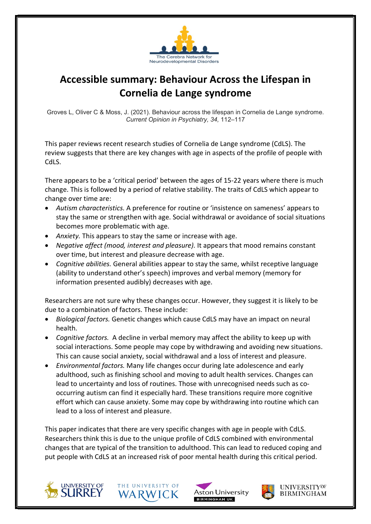

## Accessible summary: Behaviour Across the Lifespan in Cornelia de Lange syndrome

Groves L, Oliver C & Moss, J. (2021). Behaviour across the lifespan in Cornelia de Lange syndrome. Current Opinion in Psychiatry, 34, 112–117

This paper reviews recent research studies of Cornelia de Lange syndrome (CdLS). The review suggests that there are key changes with age in aspects of the profile of people with CdLS.

There appears to be a 'critical period' between the ages of 15-22 years where there is much change. This is followed by a period of relative stability. The traits of CdLS which appear to change over time are:

- Autism characteristics. A preference for routine or 'insistence on sameness' appears to stay the same or strengthen with age. Social withdrawal or avoidance of social situations becomes more problematic with age.
- Anxiety. This appears to stay the same or increase with age.
- Negative affect (mood, interest and pleasure). It appears that mood remains constant over time, but interest and pleasure decrease with age.
- Cognitive abilities. General abilities appear to stay the same, whilst receptive language (ability to understand other's speech) improves and verbal memory (memory for information presented audibly) decreases with age.

Researchers are not sure why these changes occur. However, they suggest it is likely to be due to a combination of factors. These include:

- Biological factors. Genetic changes which cause CdLS may have an impact on neural health.
- Cognitive factors. A decline in verbal memory may affect the ability to keep up with social interactions. Some people may cope by withdrawing and avoiding new situations. This can cause social anxiety, social withdrawal and a loss of interest and pleasure.
- Environmental factors. Many life changes occur during late adolescence and early adulthood, such as finishing school and moving to adult health services. Changes can lead to uncertainty and loss of routines. Those with unrecognised needs such as cooccurring autism can find it especially hard. These transitions require more cognitive effort which can cause anxiety. Some may cope by withdrawing into routine which can lead to a loss of interest and pleasure.

This paper indicates that there are very specific changes with age in people with CdLS. Researchers think this is due to the unique profile of CdLS combined with environmental changes that are typical of the transition to adulthood. This can lead to reduced coping and put people with CdLS at an increased risk of poor mental health during this critical period.









**UNIVERSITYOF BIRMINGHAM**